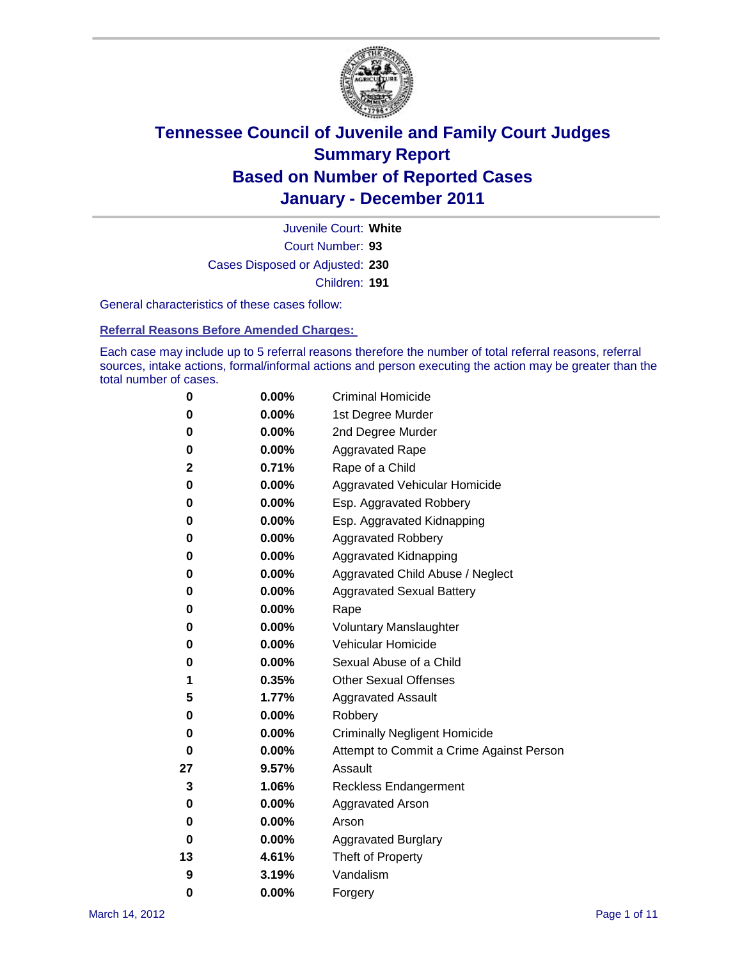

Court Number: **93** Juvenile Court: **White** Cases Disposed or Adjusted: **230** Children: **191**

General characteristics of these cases follow:

**Referral Reasons Before Amended Charges:** 

Each case may include up to 5 referral reasons therefore the number of total referral reasons, referral sources, intake actions, formal/informal actions and person executing the action may be greater than the total number of cases.

| 0  | 0.00%    | <b>Criminal Homicide</b>                 |
|----|----------|------------------------------------------|
| 0  | 0.00%    | 1st Degree Murder                        |
| 0  | 0.00%    | 2nd Degree Murder                        |
| 0  | 0.00%    | <b>Aggravated Rape</b>                   |
| 2  | 0.71%    | Rape of a Child                          |
| 0  | 0.00%    | Aggravated Vehicular Homicide            |
| 0  | 0.00%    | Esp. Aggravated Robbery                  |
| 0  | 0.00%    | Esp. Aggravated Kidnapping               |
| 0  | 0.00%    | <b>Aggravated Robbery</b>                |
| 0  | 0.00%    | Aggravated Kidnapping                    |
| 0  | 0.00%    | Aggravated Child Abuse / Neglect         |
| 0  | $0.00\%$ | <b>Aggravated Sexual Battery</b>         |
| 0  | 0.00%    | Rape                                     |
| 0  | 0.00%    | <b>Voluntary Manslaughter</b>            |
| 0  | 0.00%    | Vehicular Homicide                       |
| 0  | 0.00%    | Sexual Abuse of a Child                  |
| 1  | 0.35%    | <b>Other Sexual Offenses</b>             |
| 5  | 1.77%    | <b>Aggravated Assault</b>                |
| 0  | 0.00%    | Robbery                                  |
| 0  | 0.00%    | <b>Criminally Negligent Homicide</b>     |
| 0  | 0.00%    | Attempt to Commit a Crime Against Person |
| 27 | 9.57%    | Assault                                  |
| 3  | 1.06%    | <b>Reckless Endangerment</b>             |
| 0  | 0.00%    | <b>Aggravated Arson</b>                  |
| 0  | 0.00%    | Arson                                    |
| 0  | 0.00%    | <b>Aggravated Burglary</b>               |
| 13 | 4.61%    | Theft of Property                        |
| 9  | 3.19%    | Vandalism                                |
| 0  | 0.00%    | Forgery                                  |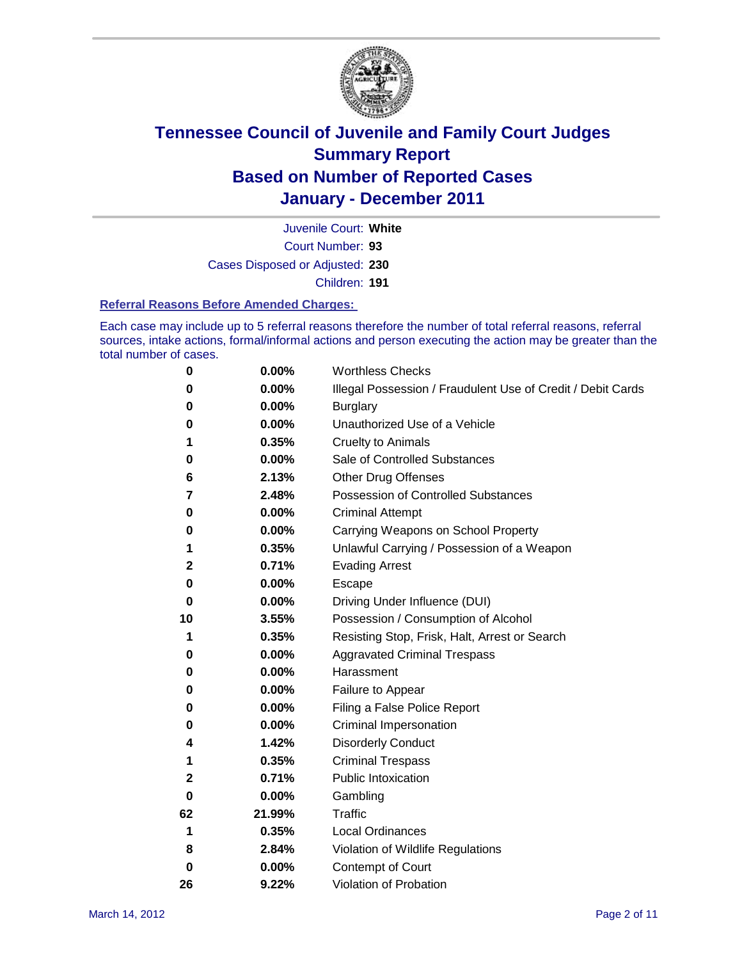

Court Number: **93** Juvenile Court: **White** Cases Disposed or Adjusted: **230** Children: **191**

#### **Referral Reasons Before Amended Charges:**

Each case may include up to 5 referral reasons therefore the number of total referral reasons, referral sources, intake actions, formal/informal actions and person executing the action may be greater than the total number of cases.

| 0            | 0.00%    | <b>Worthless Checks</b>                                     |
|--------------|----------|-------------------------------------------------------------|
| 0            | 0.00%    | Illegal Possession / Fraudulent Use of Credit / Debit Cards |
| 0            | 0.00%    | <b>Burglary</b>                                             |
| 0            | 0.00%    | Unauthorized Use of a Vehicle                               |
| 1            | 0.35%    | <b>Cruelty to Animals</b>                                   |
| 0            | 0.00%    | Sale of Controlled Substances                               |
| 6            | 2.13%    | <b>Other Drug Offenses</b>                                  |
| 7            | 2.48%    | <b>Possession of Controlled Substances</b>                  |
| 0            | 0.00%    | <b>Criminal Attempt</b>                                     |
| 0            | 0.00%    | Carrying Weapons on School Property                         |
| 1            | 0.35%    | Unlawful Carrying / Possession of a Weapon                  |
| 2            | 0.71%    | <b>Evading Arrest</b>                                       |
| 0            | $0.00\%$ | Escape                                                      |
| 0            | 0.00%    | Driving Under Influence (DUI)                               |
| 10           | 3.55%    | Possession / Consumption of Alcohol                         |
| 1            | 0.35%    | Resisting Stop, Frisk, Halt, Arrest or Search               |
| 0            | $0.00\%$ | <b>Aggravated Criminal Trespass</b>                         |
| 0            | $0.00\%$ | Harassment                                                  |
| 0            | 0.00%    | Failure to Appear                                           |
| 0            | 0.00%    | Filing a False Police Report                                |
| 0            | 0.00%    | Criminal Impersonation                                      |
| 4            | 1.42%    | <b>Disorderly Conduct</b>                                   |
| 1            | 0.35%    | <b>Criminal Trespass</b>                                    |
| $\mathbf{2}$ | 0.71%    | <b>Public Intoxication</b>                                  |
| 0            | 0.00%    | Gambling                                                    |
| 62           | 21.99%   | Traffic                                                     |
| 1            | 0.35%    | <b>Local Ordinances</b>                                     |
| 8            | 2.84%    | Violation of Wildlife Regulations                           |
| 0            | 0.00%    | Contempt of Court                                           |
| 26           | 9.22%    | Violation of Probation                                      |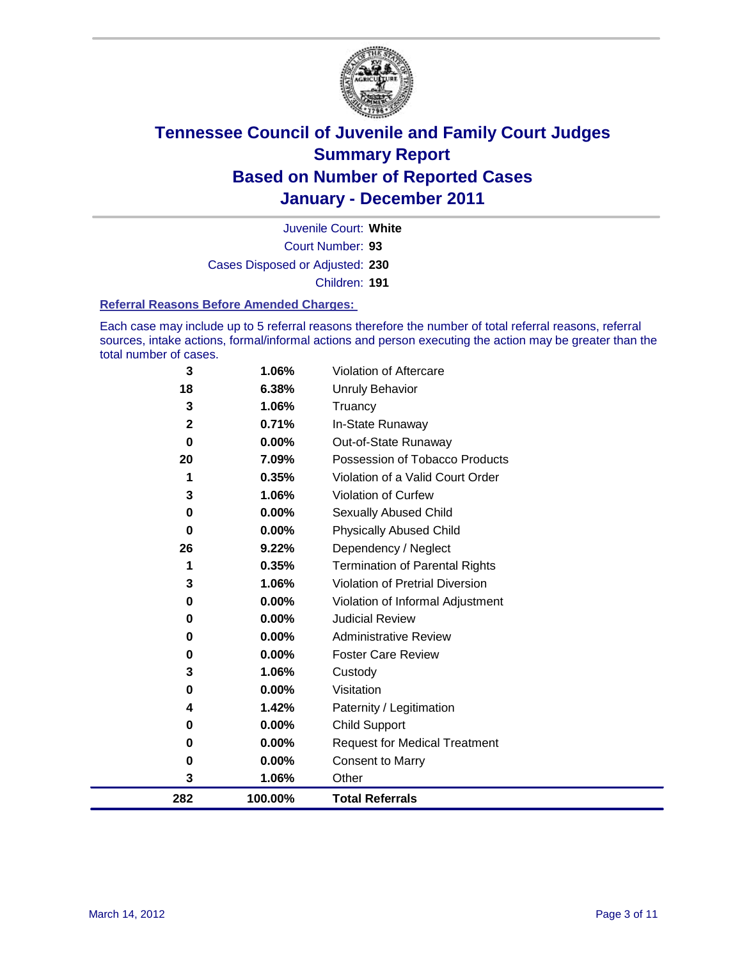

Court Number: **93** Juvenile Court: **White** Cases Disposed or Adjusted: **230** Children: **191**

#### **Referral Reasons Before Amended Charges:**

Each case may include up to 5 referral reasons therefore the number of total referral reasons, referral sources, intake actions, formal/informal actions and person executing the action may be greater than the total number of cases.

| 282               | 100.00%        | <b>Total Referrals</b>                                 |
|-------------------|----------------|--------------------------------------------------------|
| 3                 | 1.06%          | Other                                                  |
| 0                 | 0.00%          | <b>Consent to Marry</b>                                |
| 0                 | 0.00%          | <b>Request for Medical Treatment</b>                   |
| 0                 | 0.00%          | <b>Child Support</b>                                   |
| 4                 | 1.42%          | Paternity / Legitimation                               |
| 0                 | 0.00%          | Visitation                                             |
| 3                 | 1.06%          | Custody                                                |
| 0                 | 0.00%          | <b>Foster Care Review</b>                              |
| 0                 | 0.00%          | <b>Administrative Review</b>                           |
| 0                 | 0.00%          | <b>Judicial Review</b>                                 |
| 0                 | 0.00%          | Violation of Informal Adjustment                       |
| 3                 | 1.06%          | <b>Violation of Pretrial Diversion</b>                 |
| 1                 | 0.35%          | Termination of Parental Rights                         |
| 26                | 9.22%          | Dependency / Neglect                                   |
| 0                 | 0.00%          | <b>Physically Abused Child</b>                         |
| 0                 | 0.00%          | Sexually Abused Child                                  |
| 3                 | 1.06%          | Violation of Curfew                                    |
| 1                 | 0.35%          | Violation of a Valid Court Order                       |
| 20                | 7.09%          | Out-of-State Runaway<br>Possession of Tobacco Products |
| 0                 | 0.71%<br>0.00% | In-State Runaway                                       |
| 3<br>$\mathbf{2}$ | 1.06%          | Truancy                                                |
| 18                | 6.38%          | <b>Unruly Behavior</b>                                 |
| 3                 | 1.06%          | Violation of Aftercare                                 |
|                   |                |                                                        |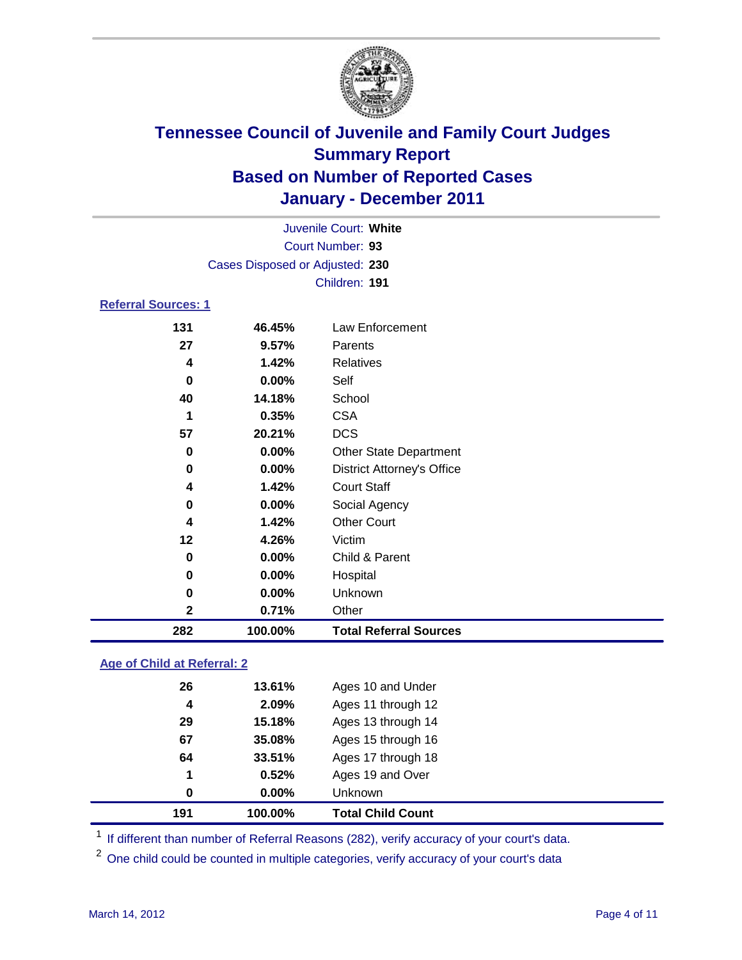

|                            |                                 | Juvenile Court: White             |
|----------------------------|---------------------------------|-----------------------------------|
|                            |                                 | Court Number: 93                  |
|                            | Cases Disposed or Adjusted: 230 |                                   |
|                            |                                 | Children: 191                     |
| <b>Referral Sources: 1</b> |                                 |                                   |
| 131                        | 46.45%                          | <b>Law Enforcement</b>            |
| 27                         | 9.57%                           | Parents                           |
| 4                          | 1.42%                           | <b>Relatives</b>                  |
| 0                          | 0.00%                           | Self                              |
| 40                         | 14.18%                          | School                            |
| 1                          | 0.35%                           | <b>CSA</b>                        |
| 57                         | 20.21%                          | <b>DCS</b>                        |
| 0                          | $0.00\%$                        | Other State Department            |
| $\mathbf 0$                | 0.00%                           | <b>District Attorney's Office</b> |
| 4                          | 1.42%                           | <b>Court Staff</b>                |
| 0                          | 0.00%                           | Social Agency                     |
| 4                          | 1.42%                           | <b>Other Court</b>                |
| 12                         | 4.26%                           | Victim                            |
| 0                          | 0.00%                           | Child & Parent                    |
| 0                          | 0.00%                           | Hospital                          |
| 0                          | 0.00%                           | Unknown                           |
| $\mathbf{2}$               | 0.71%                           | Other                             |
| 282                        | 100.00%                         | <b>Total Referral Sources</b>     |

### **Age of Child at Referral: 2**

| 191 | 100.00%  | <b>Total Child Count</b> |
|-----|----------|--------------------------|
| 0   | $0.00\%$ | <b>Unknown</b>           |
| 1   | 0.52%    | Ages 19 and Over         |
| 64  | 33.51%   | Ages 17 through 18       |
| 67  | 35.08%   | Ages 15 through 16       |
| 29  | 15.18%   | Ages 13 through 14       |
| 4   | 2.09%    | Ages 11 through 12       |
| 26  | 13.61%   | Ages 10 and Under        |
|     |          |                          |

<sup>1</sup> If different than number of Referral Reasons (282), verify accuracy of your court's data.

<sup>2</sup> One child could be counted in multiple categories, verify accuracy of your court's data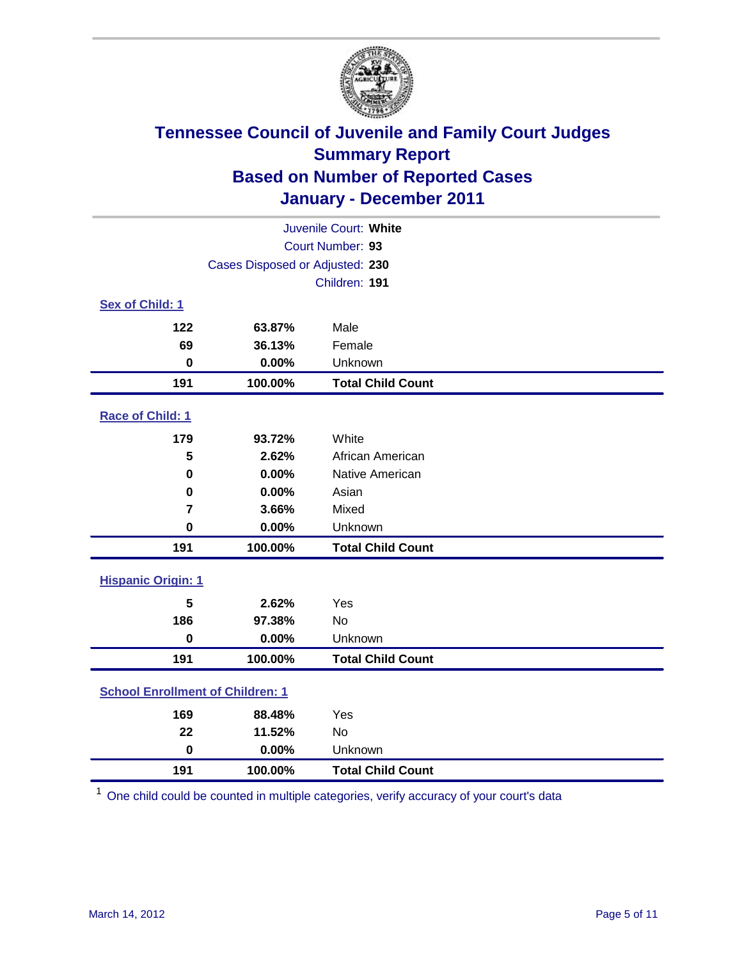

| Juvenile Court: White                   |                                 |                          |  |  |
|-----------------------------------------|---------------------------------|--------------------------|--|--|
|                                         | Court Number: 93                |                          |  |  |
|                                         | Cases Disposed or Adjusted: 230 |                          |  |  |
|                                         |                                 | Children: 191            |  |  |
| Sex of Child: 1                         |                                 |                          |  |  |
| 122                                     | 63.87%                          | Male                     |  |  |
| 69                                      | 36.13%                          | Female                   |  |  |
| $\bf{0}$                                | 0.00%                           | Unknown                  |  |  |
| 191                                     | 100.00%                         | <b>Total Child Count</b> |  |  |
| Race of Child: 1                        |                                 |                          |  |  |
| 179                                     | 93.72%                          | White                    |  |  |
| 5                                       | 2.62%                           | African American         |  |  |
| 0                                       | 0.00%                           | Native American          |  |  |
| $\mathbf 0$                             | 0.00%                           | Asian                    |  |  |
| $\overline{\mathbf{r}}$                 | 3.66%                           | Mixed                    |  |  |
| $\mathbf 0$                             | 0.00%                           | Unknown                  |  |  |
| 191                                     | 100.00%                         | <b>Total Child Count</b> |  |  |
| <b>Hispanic Origin: 1</b>               |                                 |                          |  |  |
| 5                                       | 2.62%                           | Yes                      |  |  |
| 186                                     | 97.38%                          | <b>No</b>                |  |  |
| $\mathbf 0$                             | 0.00%                           | Unknown                  |  |  |
| 191                                     | 100.00%                         | <b>Total Child Count</b> |  |  |
| <b>School Enrollment of Children: 1</b> |                                 |                          |  |  |
| 169                                     | 88.48%                          | Yes                      |  |  |
| 22                                      | 11.52%                          | No                       |  |  |
| $\mathbf 0$                             | 0.00%                           | Unknown                  |  |  |
| 191                                     | 100.00%                         | <b>Total Child Count</b> |  |  |

One child could be counted in multiple categories, verify accuracy of your court's data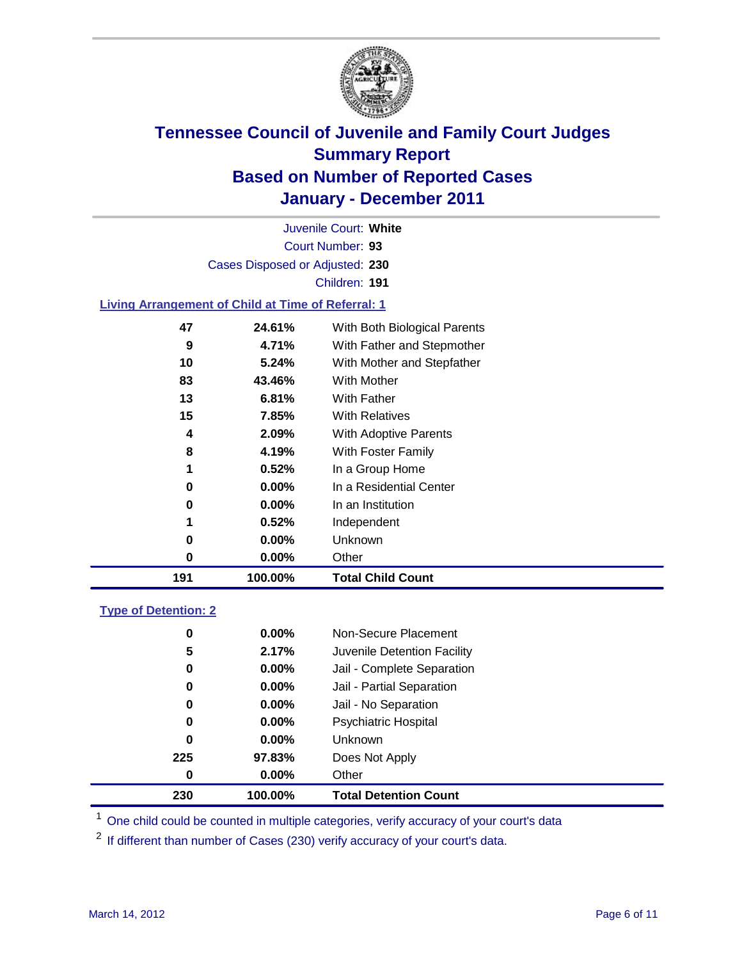

Court Number: **93** Juvenile Court: **White** Cases Disposed or Adjusted: **230** Children: **191**

#### **Living Arrangement of Child at Time of Referral: 1**

| 0<br>0<br>1<br>0<br>0 | $0.00\%$<br>0.00%<br>0.52%<br>0.00%<br>0.00% | In a Residential Center<br>In an Institution<br>Independent<br>Unknown<br>Other |                          |
|-----------------------|----------------------------------------------|---------------------------------------------------------------------------------|--------------------------|
|                       |                                              |                                                                                 |                          |
|                       |                                              |                                                                                 |                          |
|                       |                                              |                                                                                 |                          |
|                       |                                              |                                                                                 |                          |
|                       |                                              |                                                                                 |                          |
|                       |                                              |                                                                                 |                          |
| 8                     | 4.19%                                        | With Foster Family                                                              |                          |
| 4                     | 2.09%                                        | With Adoptive Parents                                                           |                          |
| 15                    | 7.85%                                        | <b>With Relatives</b>                                                           |                          |
| 13                    | 6.81%                                        | With Father                                                                     |                          |
| 83                    | 43.46%                                       | With Mother                                                                     |                          |
| 10                    | 5.24%                                        | With Mother and Stepfather                                                      |                          |
| 9                     | 4.71%                                        | With Father and Stepmother                                                      |                          |
| 47                    | 24.61%                                       | With Both Biological Parents                                                    |                          |
|                       |                                              | 1                                                                               | 0.52%<br>In a Group Home |

### **Type of Detention: 2**

| 230      | 100.00%  | <b>Total Detention Count</b> |  |
|----------|----------|------------------------------|--|
| 0        | $0.00\%$ | Other                        |  |
| 225      | 97.83%   | Does Not Apply               |  |
| 0        | $0.00\%$ | Unknown                      |  |
| 0        | 0.00%    | <b>Psychiatric Hospital</b>  |  |
| $\bf{0}$ | 0.00%    | Jail - No Separation         |  |
| 0        | $0.00\%$ | Jail - Partial Separation    |  |
| 0        | $0.00\%$ | Jail - Complete Separation   |  |
| 5        | 2.17%    | Juvenile Detention Facility  |  |
| 0        | $0.00\%$ | Non-Secure Placement         |  |
|          |          |                              |  |

<sup>1</sup> One child could be counted in multiple categories, verify accuracy of your court's data

<sup>2</sup> If different than number of Cases (230) verify accuracy of your court's data.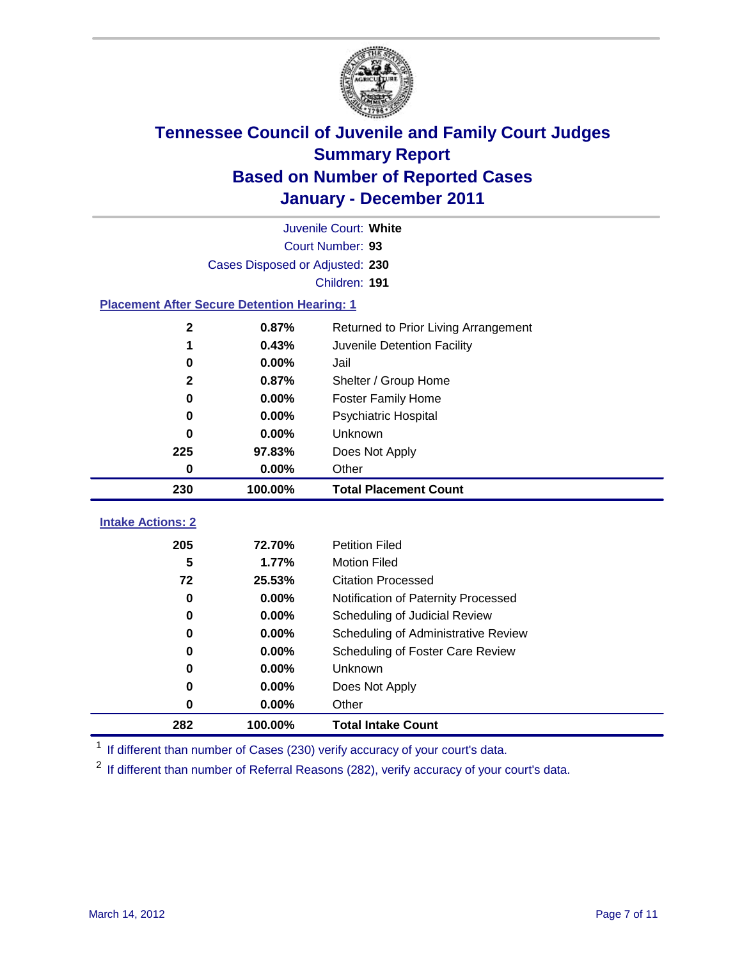

|                                                    | Juvenile Court: White           |                                      |  |  |  |
|----------------------------------------------------|---------------------------------|--------------------------------------|--|--|--|
|                                                    | Court Number: 93                |                                      |  |  |  |
|                                                    | Cases Disposed or Adjusted: 230 |                                      |  |  |  |
|                                                    |                                 | Children: 191                        |  |  |  |
| <b>Placement After Secure Detention Hearing: 1</b> |                                 |                                      |  |  |  |
| $\mathbf 2$                                        | 0.87%                           | Returned to Prior Living Arrangement |  |  |  |
| 1                                                  | 0.43%                           | Juvenile Detention Facility          |  |  |  |
| 0                                                  | 0.00%                           | Jail                                 |  |  |  |
| $\mathbf{2}$                                       | 0.87%                           | Shelter / Group Home                 |  |  |  |
| 0                                                  | 0.00%                           | <b>Foster Family Home</b>            |  |  |  |
| 0                                                  | 0.00%                           | Psychiatric Hospital                 |  |  |  |
| 0                                                  | 0.00%                           | Unknown                              |  |  |  |
| 225                                                | 97.83%                          | Does Not Apply                       |  |  |  |
| 0                                                  | 0.00%                           | Other                                |  |  |  |
| 230                                                | 100.00%                         | <b>Total Placement Count</b>         |  |  |  |
| <b>Intake Actions: 2</b>                           |                                 |                                      |  |  |  |
|                                                    |                                 |                                      |  |  |  |
| 205                                                | 72.70%                          | <b>Petition Filed</b>                |  |  |  |
| 5                                                  | 1.77%                           | <b>Motion Filed</b>                  |  |  |  |
| 72                                                 | 25.53%                          | <b>Citation Processed</b>            |  |  |  |
| 0                                                  | 0.00%                           | Notification of Paternity Processed  |  |  |  |
| $\mathbf 0$                                        | 0.00%                           | Scheduling of Judicial Review        |  |  |  |
| 0                                                  | 0.00%                           | Scheduling of Administrative Review  |  |  |  |
| 0                                                  | 0.00%                           | Scheduling of Foster Care Review     |  |  |  |
| 0                                                  | 0.00%                           | Unknown                              |  |  |  |
| 0                                                  | 0.00%                           | Does Not Apply                       |  |  |  |
| $\pmb{0}$                                          | 0.00%                           | Other                                |  |  |  |
|                                                    |                                 |                                      |  |  |  |

<sup>1</sup> If different than number of Cases (230) verify accuracy of your court's data.

<sup>2</sup> If different than number of Referral Reasons (282), verify accuracy of your court's data.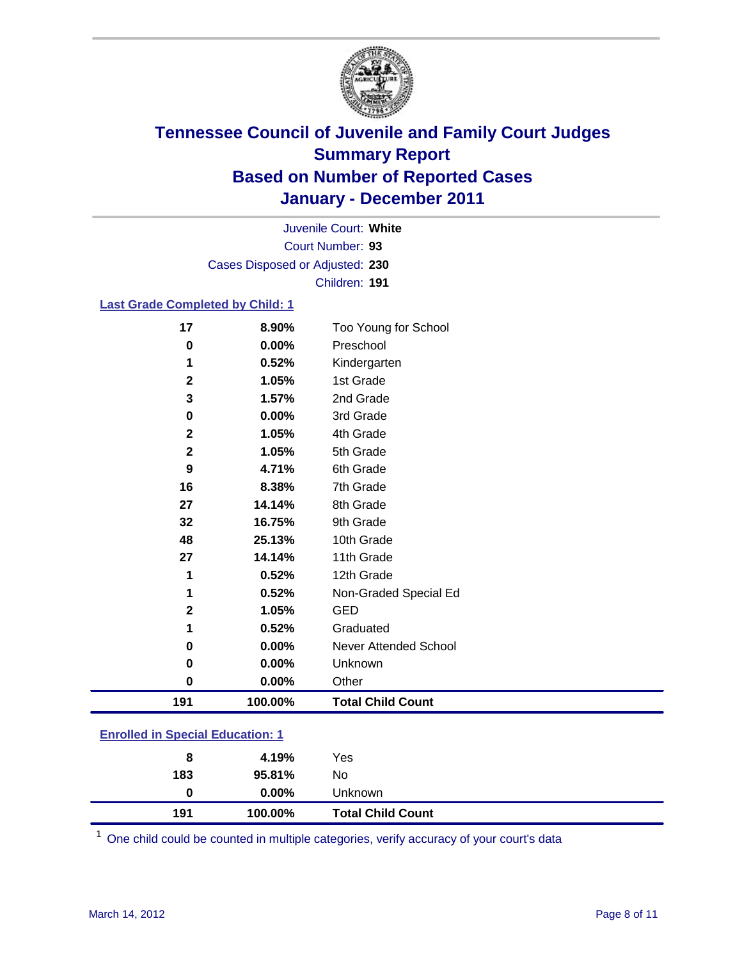

Court Number: **93** Juvenile Court: **White** Cases Disposed or Adjusted: **230** Children: **191**

#### **Last Grade Completed by Child: 1**

| 191          | 100.00% | <b>Total Child Count</b> |  |
|--------------|---------|--------------------------|--|
| $\mathbf 0$  | 0.00%   | Other                    |  |
| 0            | 0.00%   | Unknown                  |  |
| 0            | 0.00%   | Never Attended School    |  |
| 1            | 0.52%   | Graduated                |  |
| $\mathbf{2}$ | 1.05%   | <b>GED</b>               |  |
| 1            | 0.52%   | Non-Graded Special Ed    |  |
| 1            | 0.52%   | 12th Grade               |  |
| 27           | 14.14%  | 11th Grade               |  |
| 48           | 25.13%  | 10th Grade               |  |
| 32           | 16.75%  | 9th Grade                |  |
| 27           | 14.14%  | 8th Grade                |  |
| 16           | 8.38%   | 7th Grade                |  |
| 9            | 4.71%   | 6th Grade                |  |
| $\mathbf{2}$ | 1.05%   | 5th Grade                |  |
| $\mathbf{2}$ | 1.05%   | 4th Grade                |  |
| 0            | 0.00%   | 3rd Grade                |  |
| 3            | 1.57%   | 2nd Grade                |  |
| $\mathbf{2}$ | 1.05%   | 1st Grade                |  |
| 1            | 0.52%   | Kindergarten             |  |
| 0            | 0.00%   | Preschool                |  |
| 17           | 8.90%   | Too Young for School     |  |

### **Enrolled in Special Education: 1**

| 191 | 100.00%  | <b>Total Child Count</b> |
|-----|----------|--------------------------|
| 0   | $0.00\%$ | <b>Unknown</b>           |
| 183 | 95.81%   | No.                      |
| 8   | 4.19%    | Yes                      |
|     |          |                          |

One child could be counted in multiple categories, verify accuracy of your court's data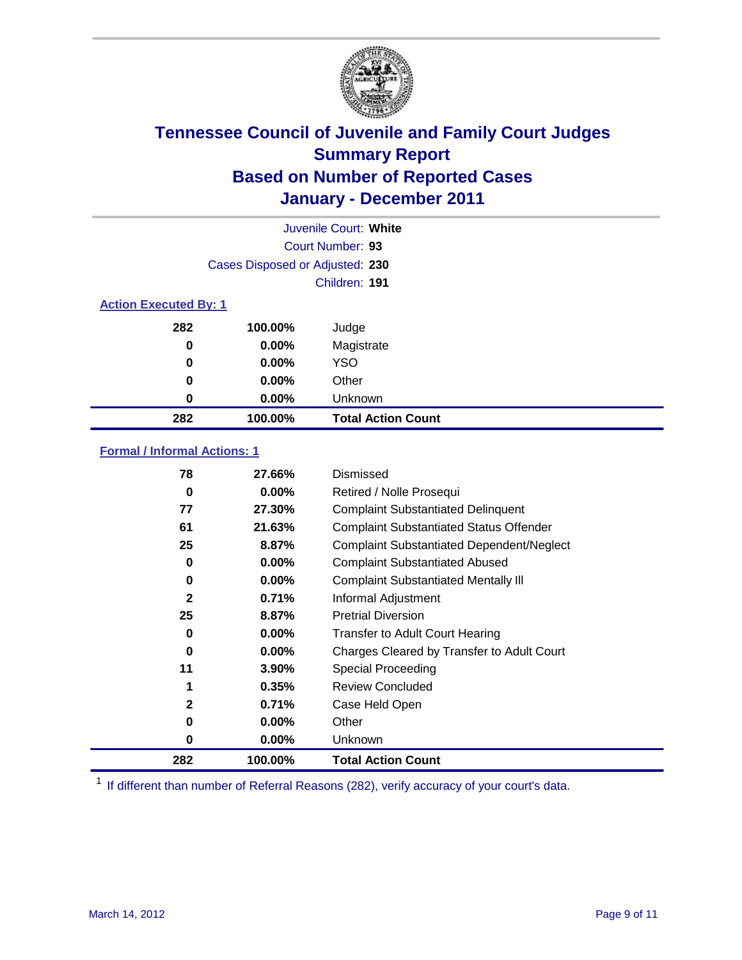

|                              | Juvenile Court: White           |                           |  |  |
|------------------------------|---------------------------------|---------------------------|--|--|
|                              |                                 | Court Number: 93          |  |  |
|                              | Cases Disposed or Adjusted: 230 |                           |  |  |
|                              |                                 | Children: 191             |  |  |
| <b>Action Executed By: 1</b> |                                 |                           |  |  |
| 282                          | 100.00%                         | Judge                     |  |  |
| 0                            | $0.00\%$                        | Magistrate                |  |  |
| 0                            | $0.00\%$                        | <b>YSO</b>                |  |  |
| 0                            | 0.00%                           | Other                     |  |  |
| 0                            | 0.00%                           | Unknown                   |  |  |
| 282                          | 100.00%                         | <b>Total Action Count</b> |  |  |

#### **Formal / Informal Actions: 1**

| 78           | 27.66%   | Dismissed                                        |
|--------------|----------|--------------------------------------------------|
| 0            | $0.00\%$ | Retired / Nolle Prosequi                         |
| 77           | 27.30%   | <b>Complaint Substantiated Delinquent</b>        |
| 61           | 21.63%   | <b>Complaint Substantiated Status Offender</b>   |
| 25           | 8.87%    | <b>Complaint Substantiated Dependent/Neglect</b> |
| 0            | 0.00%    | <b>Complaint Substantiated Abused</b>            |
| 0            | $0.00\%$ | <b>Complaint Substantiated Mentally III</b>      |
| $\mathbf{2}$ | 0.71%    | Informal Adjustment                              |
| 25           | 8.87%    | <b>Pretrial Diversion</b>                        |
| 0            | $0.00\%$ | <b>Transfer to Adult Court Hearing</b>           |
| 0            | $0.00\%$ | Charges Cleared by Transfer to Adult Court       |
| 11           | 3.90%    | Special Proceeding                               |
| 1            | 0.35%    | <b>Review Concluded</b>                          |
| $\mathbf{2}$ | 0.71%    | Case Held Open                                   |
| 0            | $0.00\%$ | Other                                            |
| 0            | $0.00\%$ | <b>Unknown</b>                                   |
| 282          | 100.00%  | <b>Total Action Count</b>                        |

<sup>1</sup> If different than number of Referral Reasons (282), verify accuracy of your court's data.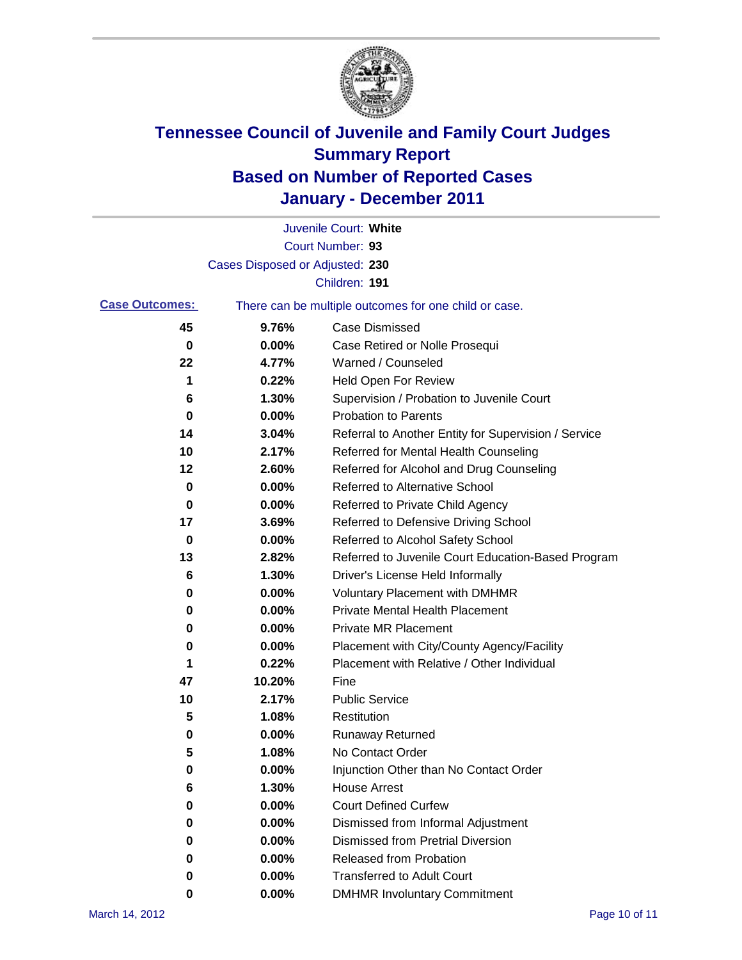

|                       |                                 | Juvenile Court: White                                 |
|-----------------------|---------------------------------|-------------------------------------------------------|
|                       |                                 | Court Number: 93                                      |
|                       | Cases Disposed or Adjusted: 230 |                                                       |
|                       |                                 | Children: 191                                         |
| <b>Case Outcomes:</b> |                                 | There can be multiple outcomes for one child or case. |
| 45                    | 9.76%                           | <b>Case Dismissed</b>                                 |
| 0                     | 0.00%                           | Case Retired or Nolle Prosequi                        |
| 22                    | 4.77%                           | Warned / Counseled                                    |
| 1                     | 0.22%                           | Held Open For Review                                  |
| 6                     | 1.30%                           | Supervision / Probation to Juvenile Court             |
| 0                     | 0.00%                           | <b>Probation to Parents</b>                           |
| 14                    | 3.04%                           | Referral to Another Entity for Supervision / Service  |
| 10                    | 2.17%                           | Referred for Mental Health Counseling                 |
| 12                    | 2.60%                           | Referred for Alcohol and Drug Counseling              |
| 0                     | 0.00%                           | <b>Referred to Alternative School</b>                 |
| 0                     | 0.00%                           | Referred to Private Child Agency                      |
| 17                    | 3.69%                           | Referred to Defensive Driving School                  |
| 0                     | 0.00%                           | Referred to Alcohol Safety School                     |
| 13                    | 2.82%                           | Referred to Juvenile Court Education-Based Program    |
| 6                     | 1.30%                           | Driver's License Held Informally                      |
| 0                     | 0.00%                           | <b>Voluntary Placement with DMHMR</b>                 |
| 0                     | 0.00%                           | <b>Private Mental Health Placement</b>                |
| 0                     | 0.00%                           | <b>Private MR Placement</b>                           |
| 0                     | 0.00%                           | Placement with City/County Agency/Facility            |
| 1                     | 0.22%                           | Placement with Relative / Other Individual            |
| 47                    | 10.20%                          | Fine                                                  |
| 10                    | 2.17%                           | <b>Public Service</b>                                 |
| 5                     | 1.08%                           | Restitution                                           |
| 0                     | 0.00%                           | <b>Runaway Returned</b>                               |
| 5                     | 1.08%                           | No Contact Order                                      |
| 0                     | 0.00%                           | Injunction Other than No Contact Order                |
| 6                     | 1.30%                           | <b>House Arrest</b>                                   |
| 0                     | 0.00%                           | <b>Court Defined Curfew</b>                           |
| 0                     | 0.00%                           | Dismissed from Informal Adjustment                    |
| 0                     | $0.00\%$                        | <b>Dismissed from Pretrial Diversion</b>              |
| 0                     | 0.00%                           | Released from Probation                               |
| 0                     | $0.00\%$                        | <b>Transferred to Adult Court</b>                     |
| 0                     | 0.00%                           | <b>DMHMR Involuntary Commitment</b>                   |